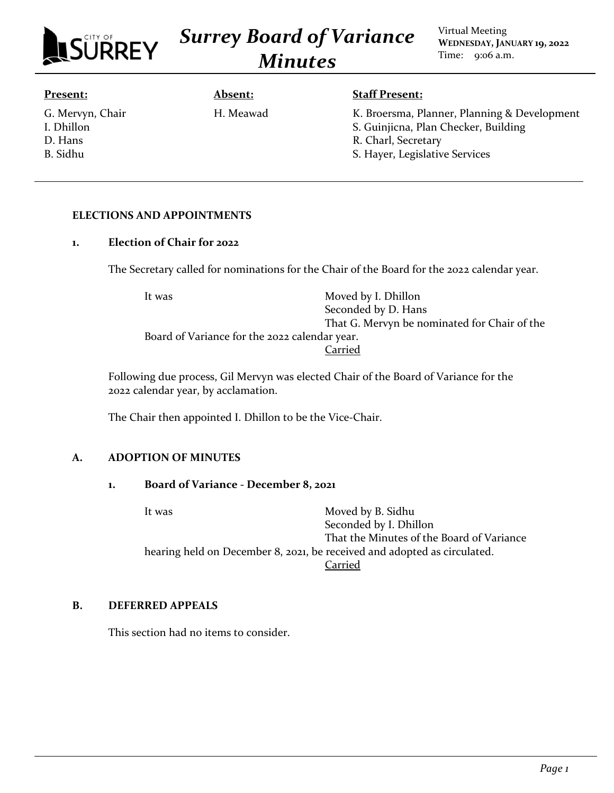|               | TY OF |  |
|---------------|-------|--|
| <b>SURREY</b> |       |  |

*Surrey Board of Variance Minutes*

Virtual Meeting **WEDNESDAY, JANUARY 19, 2022** Time: 9:06 a.m.

#### **Present:**

G. Mervyn, Chair I. Dhillon D. Hans B. Sidhu

# **Absent:** H. Meawad

### **Staff Present:**

K. Broersma, Planner, Planning & Development S. Guinjicna, Plan Checker, Building R. Charl, Secretary S. Hayer, Legislative Services

### **ELECTIONS AND APPOINTMENTS**

### **1. Election of Chair for 2022**

The Secretary called for nominations for the Chair of the Board for the 2022 calendar year.

It was Moved by I. Dhillon Seconded by D. Hans That G. Mervyn be nominated for Chair of the Board of Variance for the 2022 calendar year. Carried

Following due process, Gil Mervyn was elected Chair of the Board of Variance for the 2022 calendar year, by acclamation.

The Chair then appointed I. Dhillon to be the Vice-Chair.

## **A. ADOPTION OF MINUTES**

### **1. Board of Variance - December 8, 2021**

It was Moved by B. Sidhu Seconded by I. Dhillon That the Minutes of the Board of Variance hearing held on December 8, 2021, be received and adopted as circulated. Carried

### **B. DEFERRED APPEALS**

This section had no items to consider.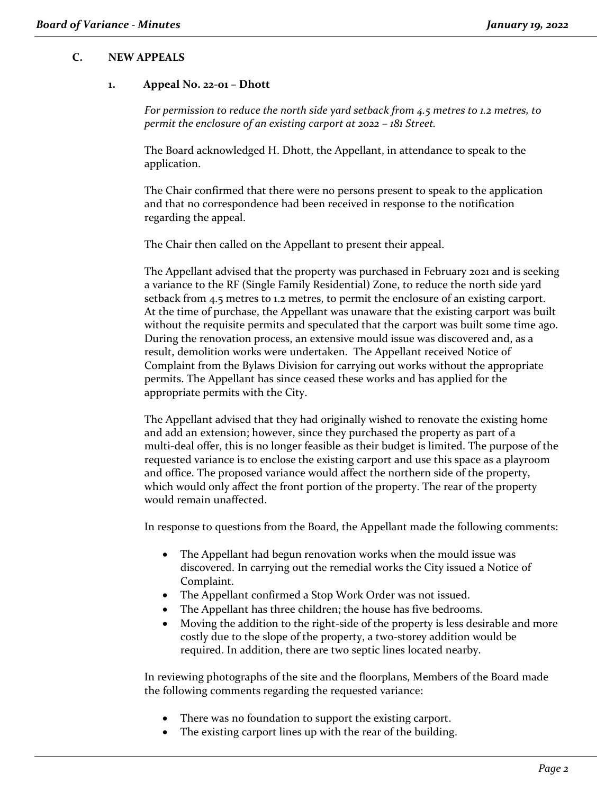### **C. NEW APPEALS**

#### **1. Appeal No. 22-01 – Dhott**

*For permission to reduce the north side yard setback from 4.5 metres to 1.2 metres, to permit the enclosure of an existing carport at 2022 – 181 Street.*

The Board acknowledged H. Dhott, the Appellant, in attendance to speak to the application.

The Chair confirmed that there were no persons present to speak to the application and that no correspondence had been received in response to the notification regarding the appeal.

The Chair then called on the Appellant to present their appeal.

The Appellant advised that the property was purchased in February 2021 and is seeking a variance to the RF (Single Family Residential) Zone, to reduce the north side yard setback from 4.5 metres to 1.2 metres, to permit the enclosure of an existing carport. At the time of purchase, the Appellant was unaware that the existing carport was built without the requisite permits and speculated that the carport was built some time ago. During the renovation process, an extensive mould issue was discovered and, as a result, demolition works were undertaken. The Appellant received Notice of Complaint from the Bylaws Division for carrying out works without the appropriate permits. The Appellant has since ceased these works and has applied for the appropriate permits with the City.

The Appellant advised that they had originally wished to renovate the existing home and add an extension; however, since they purchased the property as part of a multi-deal offer, this is no longer feasible as their budget is limited. The purpose of the requested variance is to enclose the existing carport and use this space as a playroom and office. The proposed variance would affect the northern side of the property, which would only affect the front portion of the property. The rear of the property would remain unaffected.

In response to questions from the Board, the Appellant made the following comments:

- The Appellant had begun renovation works when the mould issue was discovered. In carrying out the remedial works the City issued a Notice of Complaint.
- The Appellant confirmed a Stop Work Order was not issued.
- The Appellant has three children; the house has five bedrooms.
- Moving the addition to the right-side of the property is less desirable and more costly due to the slope of the property, a two-storey addition would be required. In addition, there are two septic lines located nearby.

In reviewing photographs of the site and the floorplans, Members of the Board made the following comments regarding the requested variance:

- There was no foundation to support the existing carport.
- The existing carport lines up with the rear of the building.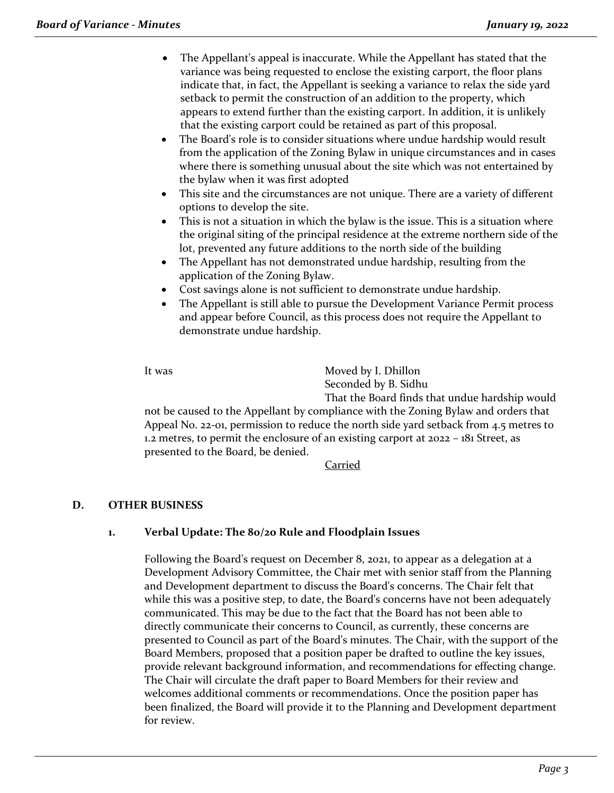- The Appellant's appeal is inaccurate. While the Appellant has stated that the variance was being requested to enclose the existing carport, the floor plans indicate that, in fact, the Appellant is seeking a variance to relax the side yard setback to permit the construction of an addition to the property, which appears to extend further than the existing carport. In addition, it is unlikely that the existing carport could be retained as part of this proposal.
- The Board's role is to consider situations where undue hardship would result from the application of the Zoning Bylaw in unique circumstances and in cases where there is something unusual about the site which was not entertained by the bylaw when it was first adopted
- This site and the circumstances are not unique. There are a variety of different options to develop the site.
- This is not a situation in which the bylaw is the issue. This is a situation where the original siting of the principal residence at the extreme northern side of the lot, prevented any future additions to the north side of the building
- The Appellant has not demonstrated undue hardship, resulting from the application of the Zoning Bylaw.
- Cost savings alone is not sufficient to demonstrate undue hardship.
- The Appellant is still able to pursue the Development Variance Permit process and appear before Council, as this process does not require the Appellant to demonstrate undue hardship.

It was Moved by I. Dhillon Seconded by B. Sidhu

That the Board finds that undue hardship would not be caused to the Appellant by compliance with the Zoning Bylaw and orders that Appeal No. 22-01, permission to reduce the north side yard setback from 4.5 metres to 1.2 metres, to permit the enclosure of an existing carport at 2022 – 181 Street, as presented to the Board, be denied.

Carried

## **D. OTHER BUSINESS**

### **1. Verbal Update: The 80/20 Rule and Floodplain Issues**

Following the Board's request on December 8, 2021, to appear as a delegation at a Development Advisory Committee, the Chair met with senior staff from the Planning and Development department to discuss the Board's concerns. The Chair felt that while this was a positive step, to date, the Board's concerns have not been adequately communicated. This may be due to the fact that the Board has not been able to directly communicate their concerns to Council, as currently, these concerns are presented to Council as part of the Board's minutes. The Chair, with the support of the Board Members, proposed that a position paper be drafted to outline the key issues, provide relevant background information, and recommendations for effecting change. The Chair will circulate the draft paper to Board Members for their review and welcomes additional comments or recommendations. Once the position paper has been finalized, the Board will provide it to the Planning and Development department for review.